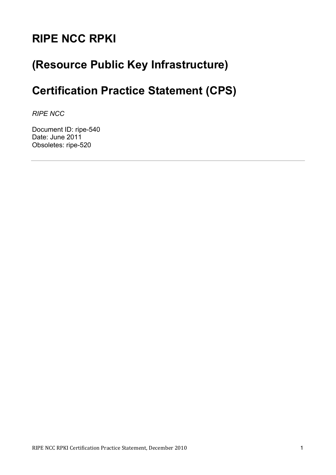# **RIPE NCC RPKI**

# **(Resource Public Key Infrastructure)**

# **Certification Practice Statement (CPS)**

*RIPE NCC*

Document ID: ripe-540 Date: June 2011 Obsoletes: ripe-520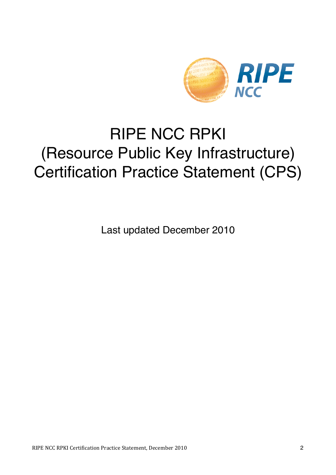

# RIPE NCC RPKI (Resource Public Key Infrastructure) Certification Practice Statement (CPS)

Last updated December 2010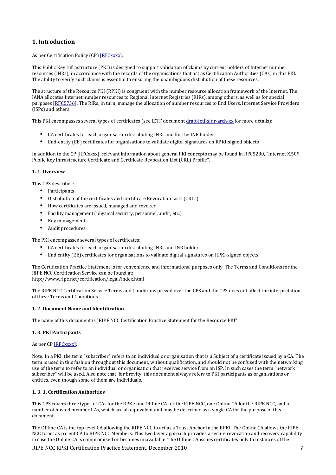# **1. Introduction**

As per Certification Policy (CP) [RFCxxxx]:

This Public Key Infrastructure (PKI) is designed to support validation of claims by current holders of Internet number resources (INRs), in accordance with the records of the organisations that act as Certification Authorities (CAs) in this PKI. The ability to verify such claims is essential to ensuring the unambiguous distribution of these resources.

The structure of the Resource PKI (RPKI) is congruent with the number resource allocation framework of the Internet. The IANA allocates Internet number resources to Regional Internet Registries (RIRs), among others, as well as for special purposes [RFC5736]. The RIRs, in turn, manage the allocation of number resources to End Users, Internet Service Providers (ISPs) and others.

This PKI encompasses several types of certificates (see IETF document draft-jetf-sidr-arch-xx for more details):

- CA certificates for each organisation distributing INRs and for the INR holder
- End-entity (EE) certificates for organisations to validate digital signatures on RPKI-signed objects

In addition to the CP [RFCxxxx], relevant information about general PKI concepts may be found in RFC5280, "Internet X.509 Public Key Infrastructure Certificate and Certificate Revocation List (CRL) Profile".

#### **1.1. Overview**

This CPS describes:

- Participants
- Distribution of the certificates and Certificate Revocation Lists (CRLs)
- How certificates are issued, managed and revoked
- Facility management (physical security, personnel, audit, etc.)
- Key management
- Audit procedures

The PKI encompasses several types of certificates:

- CA certificates for each organisation distributing INRs and INR holders
- End entity (EE) certificates for organisations to validate digital signatures on RPKI-signed objects

The Certification Practice Statement is for convenience and informational purposes only. The Terms and Conditions for the RIPE NCC Certification Service can be found at:

http://www.ripe.net/certification/legal/index.html

The RIPE NCC Certification Service Terms and Conditions prevail over the CPS and the CPS does not affect the interpretation of these Terms and Conditions.

#### **1. 2. Document Name and Identification**

The name of this document is "RIPE NCC Certification Practice Statement for the Resource PKI".

#### **1. 3. PKI Participants**

As per CP [RFCxxxx]:

Note: In a PKI, the term "subscriber" refers to an individual or organisation that is a Subject of a certificate issued by a CA. The term is used in this fashion throughout this document, without qualification, and should not be confused with the networking use of the term to refer to an individual or organisation that receives service from an ISP. In such cases the term "network" subscriber" will be used. Also note that, for brevity, this document always refers to PKI participants as organisations or entities, even though some of them are individuals.

#### **1. 3. 1. Certification Authorities**

This CPS covers three types of CAs for the RPKI: one Offline CA for the RIPE NCC, one Online CA for the RIPE NCC, and a number of hosted member CAs, which are all equivalent and may be described as a single CA for the purpose of this document.

The Offline CA is the top level CA allowing the RIPE NCC to act as a Trust Anchor in the RPKI. The Online CA allows the RIPE NCC to act as parent CA to RIPE NCC Members. This two layer approach provides a secure revocation and recovery capability in case the Online CA is compromised or becomes unavailable. The Offline CA issues certificates only to instances of the

RIPE NCC RPKI Certification Practice Statement, December 2010 7 7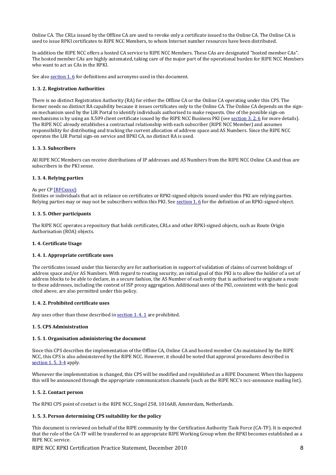Online CA. The CRLs issued by the Offline CA are used to revoke only a certificate issued to the Online CA. The Online CA is used to issue RPKI certificates to RIPE NCC Members, to whom Internet number resources have been distributed.

In addition the RIPE NCC offers a hosted CA service to RIPE NCC Members. These CAs are designated "hosted member CAs". The hosted member CAs are highly automated, taking care of the major part of the operational burden for RIPE NCC Members who want to act as CAs in the RPKI.

See also section 1.6 for definitions and acronyms used in this document.

#### **1. 3. 2. Registration Authorities**

There is no distinct Registration Authority (RA) for either the Offline CA or the Online CA operating under this CPS. The former needs no distinct RA capability because it issues certificates only to the Online CA. The Online CA depends on the signon mechanism used by the LIR Portal to identify individuals authorised to make requests. One of the possible sign-on mechanisms is by using an X.509 client certificate issued by the RIPE NCC Business PKI (see section 3.2.6 for more details). The RIPE NCC already establishes a contractual relationship with each subscriber (RIPE NCC Member) and assumes responsibility for distributing and tracking the current allocation of address space and AS Numbers. Since the RIPE NCC operates the LIR Portal sign-on service and BPKI CA, no distinct RA is used.

#### **1.#3.#3.#Subscribers**

All RIPE NCC Members can receive distributions of IP addresses and AS Numbers from the RIPE NCC Online CA and thus are subscribers in the PKI sense.

#### **1. 3. 4. Relying parties**

#### As per CP [RFCxxxx]:

Entities or individuals that act in reliance on certificates or RPKI-signed objects issued under this PKI are relying parties. Relying parties may or may not be subscribers within this PKI. See section 1.6 for the definition of an RPKI-signed object.

#### **1. 3. 5. Other participants**

The RIPE NCC operates a repository that holds certificates, CRLs and other RPKI-signed objects, such as Route Origin Authorisation (ROA) objects.

#### **1.4. Certificate Usage**

#### **1.4.1. Appropriate certificate uses**

The certificates issued under this hierarchy are for authorisation in support of validation of claims of current holdings of address space and/or AS Numbers. With regard to routing security, an initial goal of this PKI is to allow the holder of a set of address blocks to be able to declare, in a secure fashion, the AS Number of each entity that is authorised to originate a route to these addresses, including the context of ISP proxy aggregation. Additional uses of the PKI, consistent with the basic goal cited above, are also permitted under this policy.

#### **1.4.2. Prohibited certificate uses**

Any uses other than those described in section  $1.4.1$  are prohibited.

#### **1.#5.#CPS#Administration**

#### 1.5.1. Organisation administering the document

Since this CPS describes the implementation of the Offline CA, Online CA and hosted member CAs maintained by the RIPE NCC, this CPS is also administered by the RIPE NCC. However, it should be noted that approval procedures described in section 1.5.3-4 apply.

Whenever the implementation is changed, this CPS will be modified and republished as a RIPE Document. When this happens this will be announced through the appropriate communication channels (such as the RIPE NCC's ncc-announce mailing list).

#### **1.5.2. Contact person**

The RPKI CPS point of contact is the RIPE NCC, Singel 258, 1016AB, Amsterdam, Netherlands.

#### 1. 5. 3. Person determining CPS suitability for the policy

This document is reviewed on behalf of the RIPE community by the Certification Authority Task Force (CA-TF). It is expected that the role of the CA-TF will be transferred to an appropriate RIPE Working Group when the RPKI becomes established as a RIPE NCC service.

RIPE NCC RPKI Certification Practice Statement, December 2010 8 8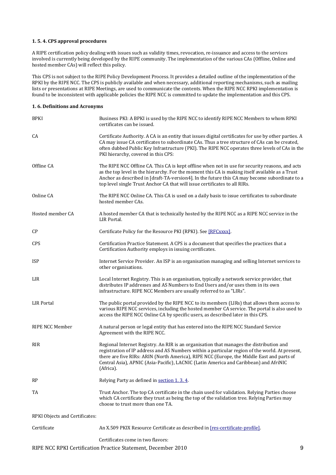#### 1.5.4. CPS approval procedures

A RIPE certification policy dealing with issues such as validity times, revocation, re-issuance and access to the services involved is currently being developed by the RIPE community. The implementation of the various CAs (Offline, Online and hosted member  $CAs$ ) will reflect this policy.

This CPS is not subject to the RIPE Policy Development Process. It provides a detailed outline of the implementation of the RPKI by the RIPE NCC. The CPS is publicly available and when necessary, additional reporting mechanisms, such as mailing lists or presentations at RIPE Meetings, are used to communicate the contents. When the RIPE NCC RPKI implementation is found to be inconsistent with applicable policies the RIPE NCC is committed to update the implementation and this CPS.

#### **1.6. Definitions and Acronyms**

| <b>BPKI</b>                    | Business PKI: A BPKI is used by the RIPE NCC to identify RIPE NCC Members to whom RPKI<br>certificates can be issued.                                                                                                                                                                                                                                                                        |
|--------------------------------|----------------------------------------------------------------------------------------------------------------------------------------------------------------------------------------------------------------------------------------------------------------------------------------------------------------------------------------------------------------------------------------------|
| CA                             | Certificate Authority. A CA is an entity that issues digital certificates for use by other parties. A<br>CA may issue CA certificates to subordinate CAs. Thus a tree structure of CAs can be created,<br>often dubbed Public Key Infrastructure (PKI). The RIPE NCC operates three levels of CAs in the<br>PKI hierarchy, covered in this CPS:                                              |
| Offline CA                     | The RIPE NCC Offline CA. This CA is kept offline when not in use for security reasons, and acts<br>as the top level in the hierarchy. For the moment this CA is making itself available as a Trust<br>Anchor as described in [draft-TA-version4]. In the future this CA may become subordinate to a<br>top level single Trust Anchor CA that will issue certificates to all RIRs.            |
| Online CA                      | The RIPE NCC Online CA. This CA is used on a daily basis to issue certificates to subordinate<br>hosted member CAs.                                                                                                                                                                                                                                                                          |
| Hosted member CA               | A hosted member CA that is technically hosted by the RIPE NCC as a RIPE NCC service in the<br>LIR Portal.                                                                                                                                                                                                                                                                                    |
| CP                             | Certificate Policy for the Resource PKI (RPKI). See [RFCxxxx].                                                                                                                                                                                                                                                                                                                               |
| <b>CPS</b>                     | Certification Practice Statement. A CPS is a document that specifies the practices that a<br>Certification Authority employs in issuing certificates.                                                                                                                                                                                                                                        |
| <b>ISP</b>                     | Internet Service Provider. An ISP is an organisation managing and selling Internet services to<br>other organisations.                                                                                                                                                                                                                                                                       |
| LIR                            | Local Internet Registry. This is an organisation, typically a network service provider, that<br>distributes IP addresses and AS Numbers to End Users and/or uses them in its own<br>infrastructure. RIPE NCC Members are usually referred to as "LIRs".                                                                                                                                      |
| <b>LIR Portal</b>              | The public portal provided by the RIPE NCC to its members (LIRs) that allows them access to<br>various RIPE NCC services, including the hosted member CA service. The portal is also used to<br>access the RIPE NCC Online CA by specific users, as described later in this CPS.                                                                                                             |
| RIPE NCC Member                | A natural person or legal entity that has entered into the RIPE NCC Standard Service<br>Agreement with the RIPE NCC.                                                                                                                                                                                                                                                                         |
| <b>RIR</b>                     | Regional Internet Registry. An RIR is an organisation that manages the distribution and<br>registration of IP address and AS Numbers within a particular region of the world. At present,<br>there are five RIRs: ARIN (North America), RIPE NCC (Europe, the Middle East and parts of<br>Central Asia), APNIC (Asia-Pacific), LACNIC (Latin America and Caribbean) and AfriNIC<br>(Africa). |
| <b>RP</b>                      | Relying Party as defined in section 1.3.4.                                                                                                                                                                                                                                                                                                                                                   |
| TA                             | Trust Anchor. The top CA certificate in the chain used for validation. Relying Parties choose<br>which CA certificate they trust as being the top of the validation tree. Relying Parties may<br>choose to trust more than one TA.                                                                                                                                                           |
| RPKI Objects and Certificates: |                                                                                                                                                                                                                                                                                                                                                                                              |
| Certificate                    | An X.509 PKIX Resource Certificate as described in [res-certificate-profile].                                                                                                                                                                                                                                                                                                                |
|                                | Certificates come in two flavors:                                                                                                                                                                                                                                                                                                                                                            |

RIPE NCC RPKI Certification Practice Statement, December 2010 9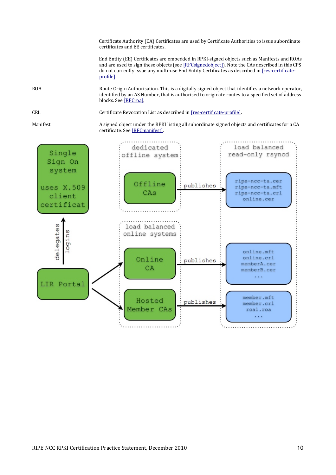Certificate Authority (CA) Certificates are used by Certificate Authorities to issue subordinate certificates and EE certificates.

End Entity (EE) Certificates are embedded in RPKI-signed objects such as Manifests and ROAs and are used to sign these objects (see [RFCsignedobject]). Note the CAs described in this CPS do not currently issue any multi-use End Entity Certificates as described in [res-certificateprofile].

ROA Route Origin Authorisation. This is a digitally signed object that identifies a network operator, identified by an AS Number, that is authorised to originate routes to a specified set of address blocks. See [RFCroa].

CRL Certificate Revocation List as described in [res-certificate-profile].

Manifest A signed object under the RPKI listing all subordinate signed objects and certificates for a CA certificate. See [RFCmanifest].

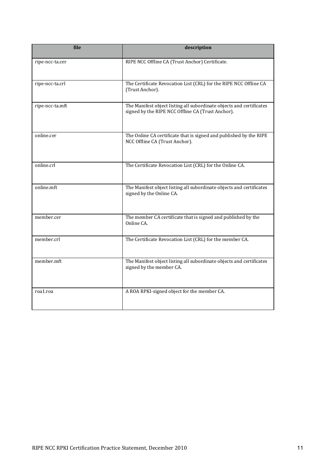| file            | description                                                                                                               |
|-----------------|---------------------------------------------------------------------------------------------------------------------------|
| ripe-ncc-ta.cer | RIPE NCC Offline CA (Trust Anchor) Certificate.                                                                           |
| ripe-ncc-ta.crl | The Certificate Revocation List (CRL) for the RIPE NCC Offline CA<br>(Trust Anchor).                                      |
| ripe-ncc-ta.mft | The Manifest object listing all subordinate objects and certificates<br>signed by the RIPE NCC Offline CA (Trust Anchor). |
| online.cer      | The Online CA certificate that is signed and published by the RIPE<br>NCC Offline CA (Trust Anchor).                      |
| online.crl      | The Certificate Revocation List (CRL) for the Online CA.                                                                  |
| online.mft      | The Manifest object listing all subordinate objects and certificates<br>signed by the Online CA.                          |
| member.cer      | The member CA certificate that is signed and published by the<br>Online CA.                                               |
| member.crl      | The Certificate Revocation List (CRL) for the member CA.                                                                  |
| member.mft      | The Manifest object listing all subordinate objects and certificates<br>signed by the member CA.                          |
| roa1.roa        | A ROA RPKI-signed object for the member CA.                                                                               |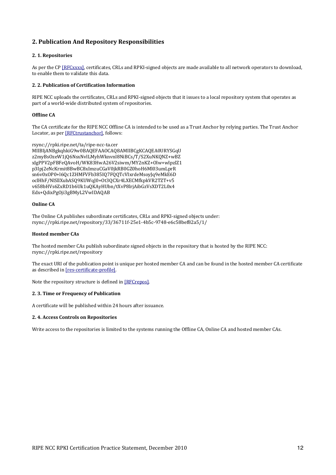# **2. Publication And Repository Responsibilities**

#### **2.1. Repositories**

As per the CP [RFCxxxx], certificates, CRLs and RPKI-signed objects are made available to all network operators to download, to enable them to validate this data.

#### **2. 2. Publication of Certification Information**

RIPE NCC uploads the certificates, CRLs and RPKI-signed objects that it issues to a local repository system that operates as part of a world-wide distributed system of repositories.

#### **Offline#CA**

The CA certificate for the RIPE NCC Offline CA is intended to be used as a Trust Anchor by relying parties. The Trust Anchor Locator, as per [RFCtrustanchor], follows:

```
rsync://rpki.ripe.net/ta/ripe-ncc-ta.cer
MIIBIjANBgkqhkiG9w0BAQEFAAOCAQ8AMIIBCgKCAQEA0URYSGqU
z2myBsOzeW1jQ6NsxNvlLMyhWknvnl8NiBCs/T/S2XuNKQNZ+wBZ
xIgPPV2pFBFeQAvoH/WK83HwA26V2siwm/MY2nKZ+Olw+wlpzlZ1
p3Ipj2eNcKrmit8BwBC8xImzuCGaV0jkRB0GZ0hoH6Ml03umLprR
sn6v0xOP0+l6Qc1ZHMFVFb385IQ7FQQTcVIxrdeMsoyJq9eMkE6D
oclHhF/NlSllXubASQ9KUWqJ0+Ot3QCXr4LXECMfkpkVR2TZT+v5
v658bHVs6ZxRD1b6Uk1uQKAyHUbn/tXvP8lrjAibGzVsXDT2L0x4
Edx+QdixPgOji3gBMyL2VwIDAQAB
```
#### **Online#CA**

The Online CA publishes subordinate certificates, CRLs and RPKI-signed objects under: rsync://rpki.ripe.net/repository/33/36711f-25e1-4b5c-9748-e6c58bef82a5/1/

#### **Hosted member CAs**

The hosted member CAs publish subordinate signed objects in the repository that is hosted by the RIPE NCC: rsync://rpki.ripe.net/repository

The exact URI of the publication point is unique per hosted member CA and can be found in the hosted member CA certificate as described in [res-certificate-profile].

Note the repository structure is defined in [RFCrepos].

#### **2. 3. Time or Frequency of Publication**

A certificate will be published within 24 hours after issuance.

#### **2.4. Access Controls on Repositories**

Write access to the repositories is limited to the systems running the Offline CA, Online CA and hosted member CAs.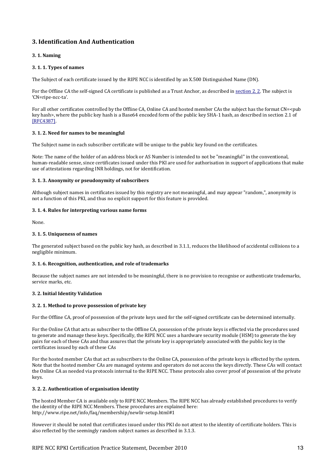# **3.#Identification#And#Authentication**

#### **3.1. Naming**

#### **3. 1. 1. Types of names**

The Subject of each certificate issued by the RIPE NCC is identified by an X.500 Distinguished Name (DN).

For the Offline CA the self-signed CA certificate is published as a Trust Anchor, as described in section 2.2. The subject is 'CN=ripe-ncc-ta'.

For all other certificates controlled by the Offline CA, Online CA and hosted member CAs the subject has the format CN=<pub key hash>, where the public key hash is a Base64 encoded form of the public key SHA-1 hash, as described in section 2.1 of [RFC4387].

#### **3. 1. 2. Need for names to be meaningful**

The Subject name in each subscriber certificate will be unique to the public key found on the certificates.

Note: The name of the holder of an address block or AS Number is intended to not be "meaningful" in the conventional, human-readable sense, since certificates issued under this PKI are used for authorisation in support of applications that make use of attestations regarding INR holdings, not for identification.

#### 3. 1. 3. Anonymity or pseudonymity of subscribers

Although subject names in certificates issued by this registry are not meaningful, and may appear "random,", anonymity is not a function of this PKI, and thus no explicit support for this feature is provided.

#### **3. 1. 4. Rules for interpreting various name forms**

None.

#### **3. 1. 5. Uniqueness of names**

The generated subject based on the public key hash, as described in  $3.1.1$ , reduces the likelihood of accidental collisions to a negligible minimum.

#### **3. 1. 6. Recognition, authentication, and role of trademarks**

Because the subject names are not intended to be meaningful, there is no provision to recognise or authenticate trademarks, service marks, etc.

# **3. 2. Initial Identity Validation**

#### **3. 2. 1. Method to prove possession of private key**

For the Offline CA, proof of possession of the private keys used for the self-signed certificate can be determined internally.

For the Online CA that acts as subscriber to the Offline CA, possession of the private keys is effected via the procedures used to generate and manage these keys. Specifically, the RIPE NCC uses a hardware security module (HSM) to generate the key pairs for each of these CAs and thus assures that the private key is appropriately associated with the public key in the certificates issued by each of these CAs

For the hosted member CAs that act as subscribers to the Online CA, possession of the private keys is effected by the system. Note that the hosted member CAs are managed systems and operators do not access the keys directly. These CAs will contact the Online CA as needed via protocols internal to the RIPE NCC. These protocols also cover proof of possession of the private keys.

#### **3. 2. 2. Authentication of organisation identity**

The hosted Member CA is available only to RIPE NCC Members. The RIPE NCC has already established procedures to verify the identity of the RIPE NCC Members. These procedures are explained here: http://www.ripe.net/info/faq/membership/newlir-setup.html#1

However it should be noted that certificates issued under this PKI do not attest to the identity of certificate holders. This is also reflected by the seemingly random subject names as described in 3.1.3.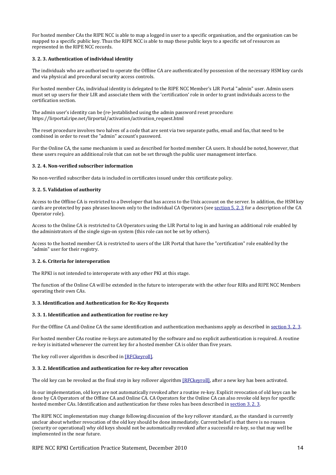For hosted member CAs the RIPE NCC is able to map a logged in user to a specific organisation, and the organisation can be mapped to a specific public key. Thus the RIPE NCC is able to map these public keys to a specific set of resources as represented in the RIPE NCC records.

#### **3.#2.#3.#Authentication#of#individual#identity**

The individuals who are authorised to operate the Offline CA are authenticated by possession of the necessary HSM key cards and via physical and procedural security access controls.

For hosted member CAs, individual identity is delegated to the RIPE NCC Member's LIR Portal "admin" user. Admin users must set up users for their LIR and associate them with the 'certification' role in order to grant individuals access to the certification section.

The admin user's identity can be (re-)established using the admin password reset procedure: https://lirportal.ripe.net/lirportal/activation/activation\_request.html

The reset procedure involves two halves of a code that are sent via two separate paths, email and fax, that need to be combined in order to reset the "admin" account's password.

For the Online CA, the same mechanism is used as described for hosted member CA users. It should be noted, however, that these users require an additional role that can not be set through the public user management interface.

#### **3. 2. 4. Non-verified subscriber information**

No non-verified subscriber data is included in certificates issued under this certificate policy.

#### **3. 2. 5. Validation of authority**

Access to the Offline CA is restricted to a Developer that has access to the Unix account on the server. In addition, the HSM key cards are protected by pass phrases known only to the individual CA Operators (see section 5. 2. 3 for a description of the CA Operator role).

Access to the Online CA is restricted to CA Operators using the LIR Portal to log in and having an additional role enabled by the administrators of the single sign-on system (this role can not be set by others).

Access to the hosted member CA is restricted to users of the LIR Portal that have the "certification" role enabled by the "admin" user for their registry.

#### **3. 2. 6. Criteria for interoperation**

The RPKI is not intended to interoperate with any other PKI at this stage.

The function of the Online CA will be extended in the future to interoperate with the other four RIRs and RIPE NCC Members operating their own CAs.

#### **3. 3. Identification and Authentication for Re-Key Requests**

#### **3. 3. 1. Identification and authentication for routine re-key**

For the Offline CA and Online CA the same identification and authentication mechanisms apply as described in section 3.2.3.

For hosted member CAs routine re-keys are automated by the software and no explicit authentication is required. A routine re-key is initiated whenever the current key for a hosted member CA is older than five years.

The key roll over algorithm is described in [RFCkeyroll].

#### **3. 3. 2. Identification and authentication for re-key after revocation**

The old key can be revoked as the final step in key rollover algorithm [RFCkeyroll], after a new key has been activated.

In our implementation, old keys are not automatically revoked after a routine re-key. Explicit revocation of old keys can be done by CA Operators of the Offline CA and Online CA. CA Operators for the Online CA can also revoke old keys for specific hosted member CAs. Identification and authentication for these roles has been described in section 3. 2. 3.

The RIPE NCC implementation may change following discussion of the key rollover standard, as the standard is currently unclear about whether revocation of the old key should be done immediately. Current belief is that there is no reason (security or operational) why old keys should not be automatically revoked after a successful re-key, so that may well be implemented in the near future.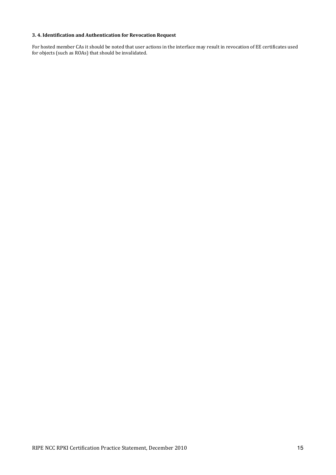# **3.#4.#Identification#and#Authentication#for#Revocation#Request**

For hosted member CAs it should be noted that user actions in the interface may result in revocation of EE certificates used for objects (such as ROAs) that should be invalidated.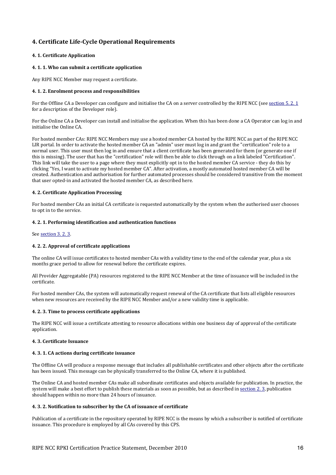# **4. Certificate Life-Cycle Operational Requirements**

#### **4. 1. Certificate Application**

#### **4. 1. 1. Who can submit a certificate application**

Any RIPE NCC Member may request a certificate.

#### **4. 1. 2. Enrolment process and responsibilities**

For the Offline CA a Developer can configure and initialise the CA on a server controlled by the RIPE NCC (see section 5.2.1) for a description of the Developer role).

For the Online CA a Developer can install and initialise the application. When this has been done a CA Operator can log in and initialise the Online CA.

For hosted member CAs: RIPE NCC Members may use a hosted member CA hosted by the RIPE NCC as part of the RIPE NCC LIR portal. In order to activate the hosted member CA an "admin" user must log in and grant the "certification" role to a normal user. This user must then log in and ensure that a client certificate has been generated for them (or generate one if this is missing). The user that has the "certification" role will then be able to click through on a link labeled "Certification". This link will take the user to a page where they must explicitly opt in to the hosted member CA service - they do this by clicking "Yes, I want to activate my hosted member CA". After activation, a mostly automated hosted member CA will be created. Authentication and authorisation for further automated processes should be considered transitive from the moment that user opted-in and activated the hosted member CA, as described here.

#### **4.2. Certificate Application Processing**

For hosted member CAs an initial CA certificate is requested automatically by the system when the authorised user chooses to opt in to the service.

#### **4. 2. 1. Performing identification and authentication functions**

See section 3.2.3.

# **4. 2. 2. Approval of certificate applications**

The online CA will issue certificates to hosted member CAs with a validity time to the end of the calendar year, plus a six months grace period to allow for renewal before the certificate expires.

All Provider Aggregatable (PA) resources registered to the RIPE NCC Member at the time of issuance will be included in the certificate.

For hosted member CAs, the system will automatically request renewal of the CA certificate that lists all eligible resources when new resources are received by the RIPE NCC Member and/or a new validity time is applicable.

#### **4. 2. 3. Time to process certificate applications**

The RIPE NCC will issue a certificate attesting to resource allocations within one business day of approval of the certificate application.

#### **4. 3. Certificate Issuance**

#### **4. 3. 1. CA actions during certificate issuance**

The Offline CA will produce a response message that includes all publishable certificates and other objects after the certificate has been issued. This message can be physically transferred to the Online CA, where it is published.

The Online CA and hosted member CAs make all subordinate certificates and objects available for publication. In practice, the system will make a best effort to publish these materials as soon as possible, but as described in section 2. 3, publication should happen within no more than 24 hours of issuance.

#### **4. 3. 2. Notification to subscriber by the CA of issuance of certificate**

Publication of a certificate in the repository operated by RIPE NCC is the means by which a subscriber is notified of certificate issuance. This procedure is employed by all CAs covered by this CPS.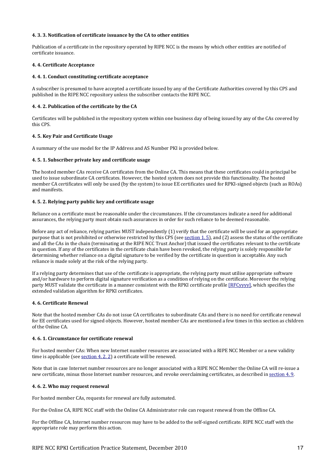#### **4. 3. 3. Notification of certificate issuance by the CA to other entities**

Publication of a certificate in the repository operated by RIPE NCC is the means by which other entities are notified of certificate issuance.

#### **4. 4. Certificate Acceptance**

#### **4. 4. 1. Conduct constituting certificate acceptance**

A subscriber is presumed to have accepted a certificate issued by any of the Certificate Authorities covered by this CPS and published in the RIPE NCC repository unless the subscriber contacts the RIPE NCC.

#### 4. 4. 2. Publication of the certificate by the CA

Certificates will be published in the repository system within one business day of being issued by any of the CAs covered by this CPS.

#### **4. 5. Key Pair and Certificate Usage**

A summary of the use model for the IP Address and AS Number PKI is provided below.

#### **4. 5. 1. Subscriber private key and certificate usage**

The hosted member CAs receive CA certificates from the Online CA. This means that these certificates could in principal be used to issue subordinate CA certificates. However, the hosted system does not provide this functionality. The hosted member CA certificates will only be used (by the system) to issue EE certificates used for RPKI-signed objects (such as ROAs) and manifests.

#### **4. 5. 2. Relying party public key and certificate usage**

Reliance on a certificate must be reasonable under the circumstances. If the circumstances indicate a need for additional assurances, the relying party must obtain such assurances in order for such reliance to be deemed reasonable.

Before any act of reliance, relying parties MUST independently  $(1)$  verify that the certificate will be used for an appropriate purpose that is not prohibited or otherwise restricted by this CPS (see section 1.5), and (2) assess the status of the certificate and all the CAs in the chain (terminating at the RIPE NCC Trust Anchor) that issued the certificates relevant to the certificate in question. If any of the certificates in the certificate chain have been revoked, the relying party is solely responsible for determining whether reliance on a digital signature to be verified by the certificate in question is acceptable. Any such reliance is made solely at the risk of the relying party.

If a relying party determines that use of the certificate is appropriate, the relying party must utilise appropriate software and/or hardware to perform digital signature verification as a condition of relying on the certificate. Moreover the relying party MUST validate the certificate in a manner consistent with the RPKI certificate profile [RFCyyyy], which specifies the extended validation algorithm for RPKI certificates.

## **4. 6. Certificate Renewal**

Note that the hosted member CAs do not issue CA certificates to subordinate CAs and there is no need for certificate renewal for EE certificates used for signed objects. However, hosted member CAs are mentioned a few times in this section as children of the Online CA.

#### **4.6.1. Circumstance for certificate renewal**

For hosted member CAs: When new Internet number resources are associated with a RIPE NCC Member or a new validity time is applicable (see section 4. 2. 2) a certificate will be renewed.

Note that in case Internet number resources are no longer associated with a RIPE NCC Member the Online CA will re-issue a new certificate, minus those Internet number resources, and revoke overclaiming certificates, as described in section 4.9.

#### **4.6.2. Who may request renewal**

For hosted member CAs, requests for renewal are fully automated.

For the Online CA, RIPE NCC staff with the Online CA Administrator role can request renewal from the Offline CA.

For the Offline CA, Internet number resources may have to be added to the self-signed certificate. RIPE NCC staff with the appropriate role may perform this action.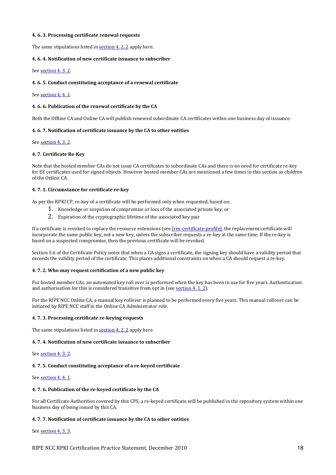#### **4.6.3. Processing certificate renewal requests**

The same stipulations listed in section 4. 2. 2 apply here.

#### **4.6. 4. Notification of new certificate issuance to subscriber**

See section 4.3.2.

#### **4.6. 5. Conduct constituting acceptance of a renewal certificate**

See section 4.4.1.

#### **4.6. 6. Publication of the renewal certificate by the CA**

Both the Offline CA and Online CA will publish renewed subordinate CA certificates within one business day of issuance.

#### **4.6. 7. Notification of certificate issuance by the CA to other entities**

See section 4.3.2.

#### **4.7. Certificate Re-Key**

Note that the hosted member CAs do not issue CA certificates to subordinate CAs and there is no need for certificate re-key for EE certificates used for signed objects. However hosted member CAs are mentioned a few times in this section as children  $of the Online CA$ 

#### **4. 7. 1. Circumstance for certificate re-key**

As per the RPKI CP, re-key of a certificate will be performed only when requested, based on:

- 1. Knowledge or suspicion of compromise or loss of the associated private key, or
- 2. Expiration of the cryptographic lifetime of the associated key pair

If a certificate is revoked to replace the resource extensions (see [res-certificate-profile], the replacement certificate will incorporate the same public key, not a new key, unless the subscriber requests a re-key at the same time. If the re-key is based on a suspected compromise, then the previous certificate will be revoked.

Section 5.6 of the Certificate Policy notes that when a CA signs a certificate, the signing key should have a validity period that exceeds the validity period of the certificate. This places additional constraints on when a CA should request a re-key.

#### **4. 7. 2. Who may request certification of a new public key**

For hosted member CAs, an automated key roll over is performed when the key has been in use for five years. Authentication and authorisation for this is considered transitive from opt in (see section  $4.1.2$ ).

For the RIPE NCC Online CA, a manual key rollover is planned to be performed every five years. This manual rollover can be initiated by RIPE NCC staff in the Online CA Administrator role.

#### **4. 7. 3. Processing certificate re-keying requests**

The same stipulations listed in  $section 4.2.2$  apply here.

#### **4. 7. 4. Notification of new certificate issuance to subscriber**

See section 4.3.2.

#### **4. 7. 5. Conduct constituting acceptance of a re-keyed certificate**

See section 4, 4, 1.

#### 4.7.6. Publication of the re-keyed certificate by the CA

For all Certificate Authorities covered by this CPS, a re-keyed certificate will be published in the repository system within one business day of being issued by this CA.

#### **4. 7. 7. Notification of certificate issuance by the CA to other entities**

See section 4.3.3.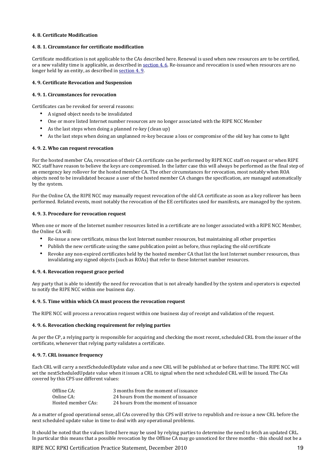#### **4. 8. Certificate Modification**

#### **4. 8. 1. Circumstance for certificate modification**

Certificate modification is not applicable to the CAs described here. Renewal is used when new resources are to be certified, or a new validity time is applicable, as described in section 4. 6. Re-issuance and revocation is used when resources are no longer held by an entity, as described in section  $4.9$ .

#### **4. 9. Certificate Revocation and Suspension**

#### **4. 9. 1. Circumstances for revocation**

Certificates can be revoked for several reasons:

- A signed object needs to be invalidated
- One or more listed Internet number resources are no longer associated with the RIPE NCC Member
- As the last steps when doing a planned re-key (clean up)
- As the last steps when doing an unplanned re-key because a loss or compromise of the old key has come to light

#### **4. 9. 2. Who can request revocation**

For the hosted member CAs, revocation of their CA certificate can be performed by RIPE NCC staff on request or when RIPE NCC staff have reason to believe the keys are compromised. In the latter case this will always be performed as the final step of an emergency key rollover for the hosted member CA. The other circumstances for revocation, most notably when ROA objects need to be invalidated because a user of the hosted member CA changes the specification, are managed automatically by the system.

For the Online CA, the RIPE NCC may manually request revocation of the old CA certificate as soon as a key rollover has been performed. Related events, most notably the revocation of the EE certificates used for manifests, are managed by the system.

#### **4. 9. 3. Procedure for revocation request**

When one or more of the Internet number resources listed in a certificate are no longer associated with a RIPE NCC Member, the Online CA will:

- Re-issue a new certificate, minus the lost Internet number resources, but maintaining all other properties
- Publish the new certificate using the same publication point as before, thus replacing the old certificate
- Revoke any non-expired certificates held by the hosted member CA that list the lost Internet number resources, thus invalidating any signed objects (such as ROAs) that refer to these Internet number resources.

#### **4. 9. 4. Revocation request grace period**

Any party that is able to identify the need for revocation that is not already handled by the system and operators is expected to notify the RIPE NCC within one business day.

#### **4. 9. 5. Time within which CA must process the revocation request**

The RIPE NCC will process a revocation request within one business day of receipt and validation of the request.

#### **4. 9. 6. Revocation checking requirement for relying parties**

As per the CP, a relying party is responsible for acquiring and checking the most recent, scheduled CRL from the issuer of the  $c$ ertificate, whenever that relying party validates a certificate.

#### **4. 9. 7. CRL issuance frequency**

Each CRL will carry a nextScheduledUpdate value and a new CRL will be published at or before that time. The RIPE NCC will set the nextScheduledUpdate value when it issues a CRL to signal when the next scheduled CRL will be issued. The CAs covered by this CPS use different values:

| Offline CA:        | 3 months from the moment of issuance |
|--------------------|--------------------------------------|
| Online CA:         | 24 hours from the moment of issuance |
| Hosted member CAs: | 24 hours from the moment of issuance |

As a matter of good operational sense, all CAs covered by this CPS will strive to republish and re-issue a new CRL before the next scheduled update value in time to deal with any operational problems.

It should be noted that the values listed here may be used by relying parties to determine the need to fetch an updated CRL. In particular this means that a possible revocation by the Offline CA may go unnoticed for three months - this should not be a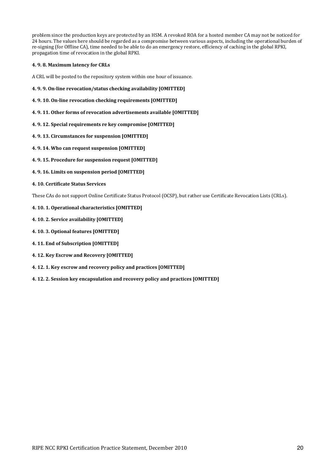problem since the production keys are protected by an HSM. A revoked ROA for a hosted member CA may not be noticed for 24 hours. The values here should be regarded as a compromise between various aspects, including the operational burden of re-signing (for Offline CA), time needed to be able to do an emergency restore, efficiency of caching in the global RPKI, propagation time of revocation in the global RPKI.

#### **4. 9. 8. Maximum latency for CRLs**

A CRL will be posted to the repository system within one hour of issuance.

- **4. 9. 9. On-line revocation/status checking availability [OMITTED]**
- **4. 9. 10. On-line revocation checking requirements [OMITTED]**
- **4. 9. 11. Other forms of revocation advertisements available [OMITTED]**
- **4. 9. 12. Special requirements re key compromise [OMITTED]**
- **4. 9. 13. Circumstances for suspension [OMITTED]**
- 4.9.14. Who can request suspension [OMITTED]
- **4. 9. 15. Procedure for suspension request [OMITTED]**
- **4. 9. 16. Limits on suspension period [OMITTED]**
- **4. 10. Certificate Status Services**

These CAs do not support Online Certificate Status Protocol (OCSP), but rather use Certificate Revocation Lists (CRLs).

- **4. 10. 1. Operational characteristics [OMITTED]**
- **4. 10. 2. Service availability [OMITTED]**
- **4. 10. 3. Optional features [OMITTED]**
- **4. 11. End of Subscription [OMITTED]**
- **4. 12. Key Escrow and Recovery [OMITTED]**
- **4. 12. 1. Key escrow and recovery policy and practices [OMITTED]**
- **4. 12. 2. Session key encapsulation and recovery policy and practices [OMITTED]**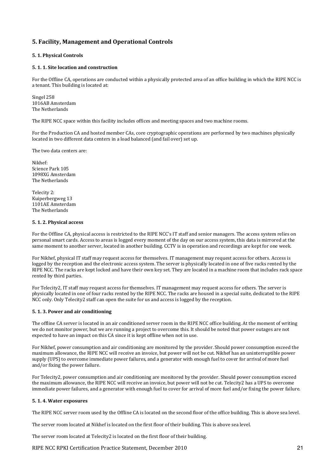# **5. Facility, Management and Operational Controls**

#### **5. 1. Physical Controls**

#### **5. 1. 1. Site location and construction**

For the Offline CA, operations are conducted within a physically protected area of an office building in which the RIPE NCC is a tenant. This building is located at:

Singel 258 1016AB Amsterdam The Netherlands

The RIPE NCC space within this facility includes offices and meeting spaces and two machine rooms.

For the Production CA and hosted member CAs, core cryptographic operations are performed by two machines physically located in two different data centers in a load balanced (and fail over) set up.

The two data centers are:

Nikhef: Science Park 105 1098XG Amsterdam The Netherlands

Telecity 2: Kuiperbergweg 13 1101AE Amsterdam The Netherlands

#### **5. 1. 2. Physical access**

For the Offline CA, physical access is restricted to the RIPE NCC's IT staff and senior managers. The access system relies on personal smart cards. Access to areas is logged every moment of the day on our access system, this data is mirrored at the same moment to another server, located in another building. CCTV is in operation and recordings are kept for one week.

For Nikhef, physical IT staff may request access for themselves. IT management may request access for others. Access is logged by the reception and the electronic access system. The server is physically located in one of five racks rented by the RIPE NCC. The racks are kept locked and have their own key set. They are located in a machine room that includes rack space rented by third parties.

For Telecity2. IT staff may request access for themselves. IT management may request access for others. The server is physically located in one of four racks rented by the RIPE NCC. The racks are housed in a special suite, dedicated to the RIPE  $NCC$  only. Only Telecity2 staff can open the suite for us and access is logged by the reception.

#### **5. 1. 3. Power and air conditioning**

The offline CA server is located in an air conditioned server room in the RIPE NCC office building. At the moment of writing we do not monitor power, but we are running a project to overcome this. It should be noted that power outages are not expected to have an impact on this CA since it is kept offline when not in use.

For Nikhef, power consumption and air conditioning are monitored by the provider. Should power consumption exceed the maximum allowance, the RIPE NCC will receive an invoice, but power will not be cut. Nikhef has an uninterruptible power supply (UPS) to overcome immediate power failures, and a generator with enough fuel to cover for arrival of more fuel and/or fixing the power failure.

For Telecity2, power consumption and air conditioning are monitored by the provider. Should power consumption exceed the maximum allowance, the RIPE NCC will receive an invoice, but power will not be cut. Telecity2 has a UPS to overcome immediate power failures, and a generator with enough fuel to cover for arrival of more fuel and/or fixing the power failure.

#### **5. 1. 4. Water exposures**

The RIPE NCC server room used by the Offline CA is located on the second floor of the office building. This is above sea level.

The server room located at Nikhef is located on the first floor of their building. This is above sea level.

The server room located at Telecity2 is located on the first floor of their building.

#### RIPE NCC RPKI Certification Practice Statement, December 2010 21 21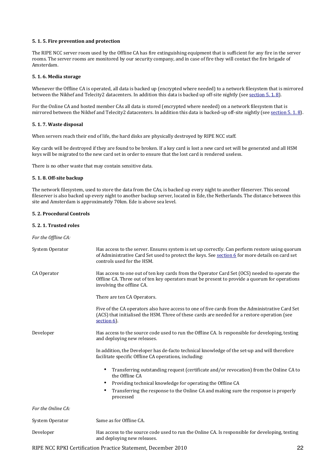#### **5. 1. 5. Fire prevention and protection**

The RIPE NCC server room used by the Offline CA has fire extinguishing equipment that is sufficient for any fire in the server rooms. The server rooms are monitored by our security company, and in case of fire they will contact the fire brigade of Amsterdam.

#### **5. 1. 6. Media storage**

Whenever the Offline CA is operated, all data is backed up (encrypted where needed) to a network filesystem that is mirrored between the Nikhef and Telecity2 datacenters. In addition this data is backed up off-site nightly (see section 5.1.8).

For the Online CA and hosted member CAs all data is stored (encrypted where needed) on a network filesystem that is mirrored between the Nikhef and Telecity2 datacenters. In addition this data is backed-up off-site nightly (see section  $5.1.8$ ).

#### **5.#1.#7.#Waste#disposal**

When servers reach their end of life, the hard disks are physically destroyed by RIPE NCC staff.

Key cards will be destroyed if they are found to be broken. If a key card is lost a new card set will be generated and all HSM keys will be migrated to the new card set in order to ensure that the lost card is rendered useless.

There is no other waste that may contain sensitive data.

#### **5. 1. 8. Off-site backup**

The network filesystem, used to store the data from the CAs, is backed up every night to another fileserver. This second fileserver is also backed up every night to another backup server, located in Ede, the Netherlands. The distance between this site and Amsterdam is approximately 70km. Ede is above sea level.

#### **5. 2. Procedural Controls**

#### **5. 2. 1. Trusted roles**

For the Offline CA:

| System Operator    | Has access to the server. Ensures system is set up correctly. Can perform restore using quorum<br>of Administrative Card Set used to protect the keys. See section 6 for more details on card set<br>controls used for the HSM. |
|--------------------|---------------------------------------------------------------------------------------------------------------------------------------------------------------------------------------------------------------------------------|
| CA Operator        | Has access to one out of ten key cards from the Operator Card Set (OCS) needed to operate the<br>Offline CA. Three out of ten key operators must be present to provide a quorum for operations<br>involving the offline CA.     |
|                    | There are ten CA Operators.                                                                                                                                                                                                     |
|                    | Five of the CA operators also have access to one of five cards from the Administrative Card Set<br>(ACS) that initialised the HSM. Three of these cards are needed for a restore operation (see<br>section 6).                  |
| Developer          | Has access to the source code used to run the Offline CA. Is responsible for developing, testing<br>and deploying new releases.                                                                                                 |
|                    | In addition, the Developer has de-facto technical knowledge of the set-up and will therefore<br>facilitate specific Offline CA operations, including:                                                                           |
|                    | Transferring outstanding request (certificate and/or revocation) from the Online CA to<br>٠<br>the Offline CA                                                                                                                   |
|                    | Providing technical knowledge for operating the Offline CA<br>٠                                                                                                                                                                 |
|                    | Transferring the response to the Online CA and making sure the response is properly<br>٠<br>processed                                                                                                                           |
| For the Online CA: |                                                                                                                                                                                                                                 |
| System Operator    | Same as for Offline CA.                                                                                                                                                                                                         |
| Developer          | Has access to the source code used to run the Online CA. Is responsible for developing, testing<br>and deploying new releases.                                                                                                  |

RIPE NCC RPKI Certification Practice Statement, December 2010 22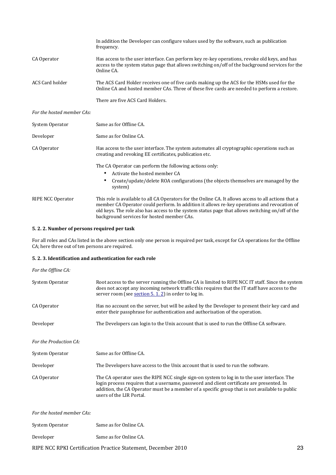|                            | In addition the Developer can configure values used by the software, such as publication<br>frequency.                                                                                                                                                                                                                                                |
|----------------------------|-------------------------------------------------------------------------------------------------------------------------------------------------------------------------------------------------------------------------------------------------------------------------------------------------------------------------------------------------------|
| CA Operator                | Has access to the user interface. Can perform key re-key operations, revoke old keys, and has<br>access to the system status page that allows switching on/off of the background services for the<br>Online CA.                                                                                                                                       |
| ACS Card holder            | The ACS Card Holder receives one of five cards making up the ACS for the HSMs used for the<br>Online CA and hosted member CAs. Three of these five cards are needed to perform a restore.                                                                                                                                                             |
|                            | There are five ACS Card Holders.                                                                                                                                                                                                                                                                                                                      |
| For the hosted member CAs: |                                                                                                                                                                                                                                                                                                                                                       |
| System Operator            | Same as for Offline CA.                                                                                                                                                                                                                                                                                                                               |
| Developer                  | Same as for Online CA.                                                                                                                                                                                                                                                                                                                                |
| CA Operator                | Has access to the user interface. The system automates all cryptographic operations such as<br>creating and revoking EE certificates, publication etc.                                                                                                                                                                                                |
|                            | The CA Operator can perform the following actions only:                                                                                                                                                                                                                                                                                               |
|                            | Activate the hosted member CA<br>$\bullet$                                                                                                                                                                                                                                                                                                            |
|                            | Create/update/delete ROA configurations (the objects themselves are managed by the<br>٠<br>system)                                                                                                                                                                                                                                                    |
| RIPE NCC Operator          | This role is available to all CA Operators for the Online CA. It allows access to all actions that a<br>member CA Operator could perform. In addition it allows re-key operations and revocation of<br>old keys. The role also has access to the system status page that allows switching on/off of the<br>background services for hosted member CAs. |

# **5. 2. 2. Number of persons required per task**

For all roles and CAs listed in the above section only one person is required per task, except for CA operations for the Offline CA; here three out of ten persons are required.

# **5. 2. 3. Identification and authentication for each role**

| For the Offline CA:        |                                                                                                                                                                                                                                                                                                                         |
|----------------------------|-------------------------------------------------------------------------------------------------------------------------------------------------------------------------------------------------------------------------------------------------------------------------------------------------------------------------|
| System Operator            | Root access to the server running the Offline CA is limited to RIPE NCC IT staff. Since the system<br>does not accept any incoming network traffic this requires that the IT staff have access to the<br>server room (see section 5.1.2) in order to log in.                                                            |
| CA Operator                | Has no account on the server, but will be asked by the Developer to present their key card and<br>enter their passphrase for authentication and authorisation of the operation.                                                                                                                                         |
| Developer                  | The Developers can login to the Unix account that is used to run the Offline CA software.                                                                                                                                                                                                                               |
| For the Production CA:     |                                                                                                                                                                                                                                                                                                                         |
| System Operator            | Same as for Offline CA.                                                                                                                                                                                                                                                                                                 |
| Developer                  | The Developers have access to the Unix account that is used to run the software.                                                                                                                                                                                                                                        |
| CA Operator                | The CA operator uses the RIPE NCC single sign-on system to log in to the user interface. The<br>login process requires that a username, password and client certificate are presented. In<br>addition, the CA Operator must be a member of a specific group that is not available to public<br>users of the LIR Portal. |
| For the hosted member CAs: |                                                                                                                                                                                                                                                                                                                         |
| System Operator            | Same as for Online CA.                                                                                                                                                                                                                                                                                                  |

Developer Same as for Online CA.

RIPE NCC RPKI Certification Practice Statement, December 2010 23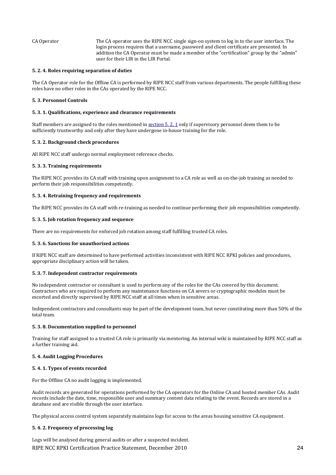CA Operator The CA operator uses the RIPE NCC single sign-on system to log in to the user interface. The login process requires that a username, password and client certificate are presented. In addition the CA Operator must be made a member of the "certification" group by the "admin" user for their LIR in the LIR Portal.

#### **5. 2. 4. Roles requiring separation of duties**

The CA Operator role for the Offline CA is performed by RIPE NCC staff from various departments. The people fulfilling these roles have no other roles in the CAs operated by the RIPE NCC.

#### **5. 3. Personnel Controls**

#### **5. 3. 1. Qualifications, experience and clearance requirements**

Staff members are assigned to the roles mentioned in section 5. 2. 1 only if supervisory personnel deem them to be sufficiently trustworthy and only after they have undergone in-house training for the role.

#### **5. 3. 2. Background check procedures**

All RIPE NCC staff undergo normal employment reference checks.

#### **5.#3.#3.#Training#requirements**

The RIPE NCC provides its CA staff with training upon assignment to a CA role as well as on-the-job training as needed to perform their job responsibilities competently.

#### **5.#3.#4.#Retraining#frequency#and#requirements**

The RIPE NCC provides its CA staff with re-training as needed to continue performing their job responsibilities competently.

#### **5. 3. 5. Job rotation frequency and sequence**

There are no requirements for enforced job rotation among staff fulfilling trusted CA roles.

#### **5. 3. 6. Sanctions for unauthorised actions**

If RIPE NCC staff are determined to have performed activities inconsistent with RIPE NCC RPKI policies and procedures, appropriate disciplinary action will be taken.

#### **5. 3. 7. Independent contractor requirements**

No independent contractor or consultant is used to perform any of the roles for the CAs covered by this document. Contractors who are required to perform any maintenance functions on CA severs or cryptographic modules must be escorted and directly supervised by RIPE NCC staff at all times when in sensitive areas.

Independent contractors and consultants may be part of the development team, but never constituting more than  $50\%$  of the total team.

#### **5. 3. 8. Documentation supplied to personnel**

Training for staff assigned to a trusted CA role is primarily via mentoring. An internal wiki is maintained by RIPE NCC staff as a further training aid.

#### **5. 4. Audit Logging Procedures**

#### **5.4.1. Types of events recorded**

For the Offline CA no audit logging is implemented.

Audit records are generated for operations performed by the CA operators for the Online CA and hosted member CAs. Audit records include the date, time, responsible user and summary content data relating to the event. Records are stored in a database and are visible through the user interface.

The physical access control system separately maintains logs for access to the areas housing sensitive CA equipment.

#### **5. 4. 2. Frequency of processing log**

RIPE NCC RPKI Certification Practice Statement, December 2010 24 Logs will be analysed during general audits or after a suspected incident.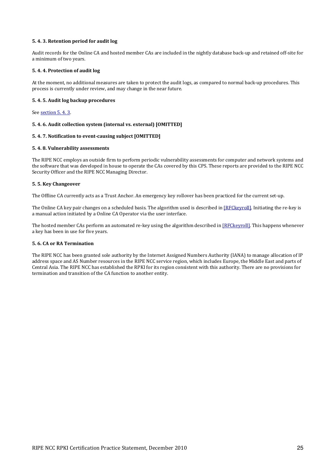#### **5. 4. 3. Retention period for audit log**

Audit records for the Online CA and hosted member CAs are included in the nightly database back-up and retained off-site for a minimum of two years.

#### **5.4.4. Protection of audit log**

At the moment, no additional measures are taken to protect the audit logs, as compared to normal back-up procedures. This process is currently under review, and may change in the near future.

#### **5. 4. 5. Audit log backup procedures**

See section 5.4.3.

#### **5. 4. 6. Audit collection system (internal vs. external) [OMITTED]**

#### **5.4. 7. Notification to event-causing subject [OMITTED]**

#### **5. 4. 8. Vulnerability assessments**

The RIPE NCC employs an outside firm to perform periodic vulnerability assessments for computer and network systems and the software that was developed in house to operate the CAs covered by this CPS. These reports are provided to the RIPE NCC Security Officer and the RIPE NCC Managing Director.

#### **5. 5. Key Changeover**

The Offline CA currently acts as a Trust Anchor. An emergency key rollover has been practiced for the current set-up.

The Online CA key pair changes on a scheduled basis. The algorithm used is described in [RFCkeyroll]. Initiating the re-key is a manual action initiated by a Online CA Operator via the user interface.

The hosted member CAs perform an automated re-key using the algorithm described in [RFCkeyroll]. This happens whenever a key has been in use for five years.

#### **5.6. CA or RA Termination**

The RIPE NCC has been granted sole authority by the Internet Assigned Numbers Authority (IANA) to manage allocation of IP address space and AS Number resources in the RIPE NCC service region, which includes Europe, the Middle East and parts of Central Asia. The RIPE NCC has established the RPKI for its region consistent with this authority. There are no provisions for termination and transition of the CA function to another entity.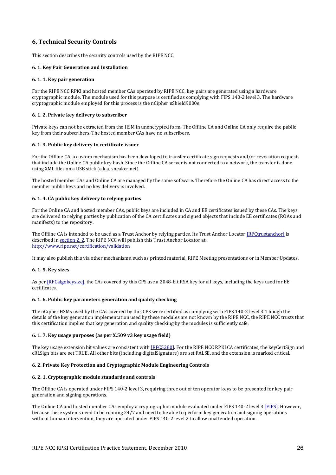# **6. Technical Security Controls**

This section describes the security controls used by the RIPE NCC.

#### **6. 1. Key Pair Generation and Installation**

#### **6. 1. 1. Key pair generation**

For the RIPE NCC RPKI and hosted member CAs operated by RIPE NCC, key pairs are generated using a hardware cryptographic module. The module used for this purpose is certified as complying with FIPS 140-2 level 3. The hardware cryptographic module employed for this process is the nCipher nShield9000e.

#### **6. 1. 2. Private key delivery to subscriber**

Private keys can not be extracted from the HSM in unencrypted form. The Offline CA and Online CA only require the public key from their subscribers. The hosted member CAs have no subscribers.

#### **6. 1. 3. Public key delivery to certificate issuer**

For the Offline CA, a custom mechanism has been developed to transfer certificate sign requests and/or revocation requests that include the Online CA public key hash. Since the Offline CA server is not connected to a network, the transfer is done using XML files on a USB stick (a.k.a. sneaker net).

The hosted member CAs and Online CA are managed by the same software. Therefore the Online CA has direct access to the member public keys and no key delivery is involved.

#### **6. 1. 4. CA public key delivery to relying parties**

For the Online CA and hosted member CAs, public keys are included in CA and EE certificates issued by these CAs. The keys are delivered to relying parties by publication of the CA certificates and signed objects that include EE certificates (ROAs and manifests) to the repository.

The Offline CA is intended to be used as a Trust Anchor by relying parties. Its Trust Anchor Locator [RFCtrustanchor] is described in section 2. 2. The RIPE NCC will publish this Trust Anchor Locator at: http://www.ripe.net/certification/validation

It may also publish this via other mechanisms, such as printed material, RIPE Meeting presentations or in Member Updates.

#### **6.#1.#5.#Key#sizes**

As per [RFCalgokeysize], the CAs covered by this CPS use a 2048-bit RSA key for all keys, including the keys used for EE certificates.

#### **6. 1. 6. Public key parameters generation and quality checking**

The nCipher HSMs used by the CAs covered by this CPS were certified as complying with FIPS 140-2 level 3. Though the details of the key generation implementation used by these modules are not known by the RIPE NCC, the RIPE NCC trusts that this certification implies that key generation and quality checking by the modules is sufficiently safe.

#### **6. 1. 7. Key usage purposes (as per X.509 v3 key usage field)**

The key usage extension bit values are consistent with [RFC5280]. For the RIPE NCC RPKI CA certificates, the keyCertSign and cRLSign bits are set TRUE. All other bits (including digitalSignature) are set FALSE, and the extension is marked critical.

#### **6. 2. Private Key Protection and Cryptographic Module Engineering Controls**

#### **6.#2.#1.#Cryptographic#module#standards#and#controls**

The Offline CA is operated under FIPS 140-2 level 3, requiring three out of ten operator keys to be presented for key pair generation and signing operations.

The Online CA and hosted member CAs employ a cryptographic module evaluated under FIPS 140-2 level 3 [FIPS]. However, because these systems need to be running  $24/7$  and need to be able to perform key generation and signing operations without human intervention, they are operated under FIPS 140-2 level 2 to allow unattended operation.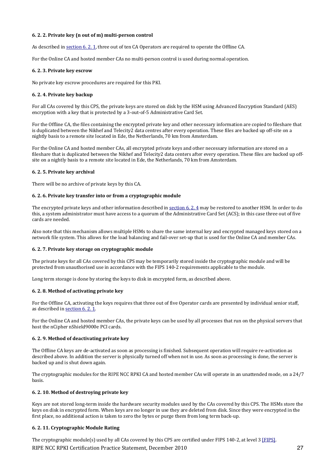# **6. 2. 2. Private key (n out of m) multi-person control**

As described in section 6. 2. 1, three out of ten CA Operators are required to operate the Offline CA.

For the Online CA and hosted member CAs no multi-person control is used during normal operation.

#### **6. 2. 3. Private key escrow**

No private key escrow procedures are required for this PKI.

#### **6. 2. 4. Private key backup**

For all CAs covered by this CPS, the private keys are stored on disk by the HSM using Advanced Encryption Standard (AES) encryption with a key that is protected by a 3-out-of-5 Administrative Card Set.

For the Offline CA, the files containing the encrypted private key and other necessary information are copied to fileshare that is duplicated between the Nikhef and Telecity2 data centres after every operation. These files are backed up off-site on a nightly basis to a remote site located in Ede, the Netherlands, 70 km from Amsterdam.

For the Online CA and hosted member CAs, all encrypted private keys and other necessary information are stored on a fileshare that is duplicated between the Nikhef and Telecity2 data centers after every operation. These files are backed up offsite on a nightly basis to a remote site located in Ede, the Netherlands, 70 km from Amsterdam.

#### **6. 2. 5. Private key archival**

There will be no archive of private keys by this CA.

#### **6. 2. 6. Private key transfer into or from a cryptographic module**

The encrypted private keys and other information described in section 6. 2. 4 may be restored to another HSM. In order to do this, a system administrator must have access to a quorum of the Administrative Card Set (ACS); in this case three out of five cards are needed.

Also note that this mechanism allows multiple HSMs to share the same internal key and encrypted managed keys stored on a network file system. This allows for the load balancing and fail-over set-up that is used for the Online CA and member CAs.

#### 6. 2. 7. Private key storage on cryptographic module

The private keys for all CAs covered by this CPS may be temporarily stored inside the cryptographic module and will be protected from unauthorised use in accordance with the FIPS 140-2 requirements applicable to the module.

Long term storage is done by storing the keys to disk in encrypted form, as described above.

#### **6. 2. 8. Method of activating private key**

For the Offline CA, activating the keys requires that three out of five Operator cards are presented by individual senior staff, as described in section  $6, 2, 1$ .

For the Online CA and hosted member CAs, the private keys can be used by all processes that run on the physical servers that host the nCipher nShield9000e PCI cards.

#### **6. 2. 9. Method of deactivating private key**

The Offline CA keys are de-activated as soon as processing is finished. Subsequent operation will require re-activation as described above. In addition the server is physically turned off when not in use. As soon as processing is done, the server is backed up and is shut down again.

The cryptographic modules for the RIPE NCC RPKI CA and hosted member CAs will operate in an unattended mode, on a  $24/7$ basis.

#### **6. 2. 10. Method of destroying private key**

Keys are not stored long-term inside the hardware security modules used by the CAs covered by this CPS. The HSMs store the keys on disk in encrypted form. When keys are no longer in use they are deleted from disk. Since they were encrypted in the first place, no additional action is taken to zero the bytes or purge them from long term back-up.

#### **6. 2. 11. Cryptographic Module Rating**

RIPE NCC RPKI Certification Practice Statement, December 2010 27 27 The cryptographic module(s) used by all CAs covered by this CPS are certified under FIPS 140-2, at level 3 [FIPS].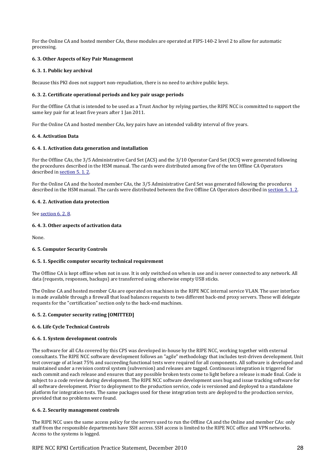For the Online CA and hosted member CAs, these modules are operated at FIPS-140-2 level 2 to allow for automatic processing.

## **6. 3. Other Aspects of Key Pair Management**

#### **6. 3. 1. Public key archival**

Because this PKI does not support non-repudiation, there is no need to archive public keys.

#### **6.#3.#2.#Certificate#operational#periods#and#key#pair#usage#periods**

For the Offline CA that is intended to be used as a Trust Anchor by relying parties, the RIPE NCC is committed to support the same key pair for at least five years after 1 Jan 2011.

For the Online CA and hosted member CAs, key pairs have an intended validity interval of five years.

#### **6.#4.#Activation#Data**

#### **6.#4.#1.#Activation#data#generation#and#installation**

For the Offline CAs, the 3/5 Administrative Card Set (ACS) and the 3/10 Operator Card Set (OCS) were generated following the procedures described in the HSM manual. The cards were distributed among five of the ten Offline CA Operators described in section 5.1.2.

For the Online CA and the hosted member CAs, the 3/5 Administrative Card Set was generated following the procedures described in the HSM manual. The cards were distributed between the five Offline CA Operators described in section 5.1.2.

#### **6. 4. 2. Activation data protection**

See section 6. 2. 8.

#### **6. 4. 3. Other aspects of activation data**

None.

#### **6. 5. Computer Security Controls**

#### **6. 5. 1. Specific computer security technical requirement**

The Offline CA is kept offline when not in use. It is only switched on when in use and is never connected to any network. All data (requests, responses, backups) are transferred using otherwise empty USB sticks.

The Online CA and hosted member CAs are operated on machines in the RIPE NCC internal service VLAN. The user interface is made available through a firewall that load balances requests to two different back-end proxy servers. These will delegate requests for the "certification" section only to the back-end machines.

#### **6. 5. 2. Computer security rating [OMITTED]**

#### **6. 6. Life Cycle Technical Controls**

#### **6. 6. 1. System development controls**

The software for all CAs covered by this CPS was developed in-house by the RIPE NCC, working together with external consultants. The RIPE NCC software development follows an "agile" methodology that includes test-driven development. Unit test coverage of at least 75% and succeeding functional tests were required for all components. All software is developed and maintained under a revision control system (subversion) and releases are tagged. Continuous integration is triggered for each commit and each release and ensures that any possible broken tests come to light before a release is made final. Code is subject to a code review during development. The RIPE NCC software development uses bug and issue tracking software for all software development. Prior to deployment to the production service, code is versioned and deployed to a standalone platform for integration tests. The same packages used for these integration tests are deployed to the production service, provided that no problems were found.

#### **6. 6. 2. Security management controls**

The RIPE NCC uses the same access policy for the servers used to run the Offline CA and the Online and member CAs: only staff from the responsible departments have SSH access. SSH access is limited to the RIPE NCC office and VPN networks. Access to the systems is logged.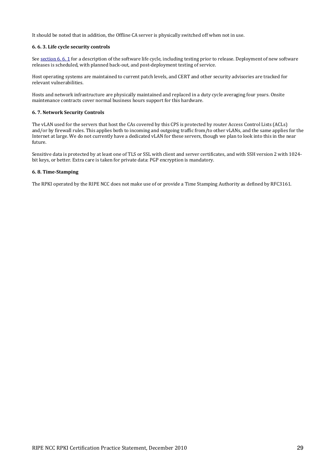It should be noted that in addition, the Offline CA server is physically switched off when not in use.

#### **6. 6. 3. Life cycle security controls**

See section 6. 6. 1 for a description of the software life cycle, including testing prior to release. Deployment of new software releases is scheduled, with planned back-out, and post-deployment testing of service.

Host operating systems are maintained to current patch levels, and CERT and other security advisories are tracked for relevant vulnerabilities.

Hosts and network infrastructure are physically maintained and replaced in a duty cycle averaging four years. Onsite maintenance contracts cover normal business hours support for this hardware.

#### **6. 7. Network Security Controls**

The vLAN used for the servers that host the CAs covered by this CPS is protected by router Access Control Lists (ACLs) and/or by firewall rules. This applies both to incoming and outgoing traffic from/to other vLANs, and the same applies for the Internet at large. We do not currently have a dedicated vLAN for these servers, though we plan to look into this in the near future.

Sensitive data is protected by at least one of TLS or SSL with client and server certificates, and with SSH version 2 with 1024bit keys, or better. Extra care is taken for private data: PGP encryption is mandatory.

#### **6. 8. Time-Stamping**

The RPKI operated by the RIPE NCC does not make use of or provide a Time Stamping Authority as defined by RFC3161.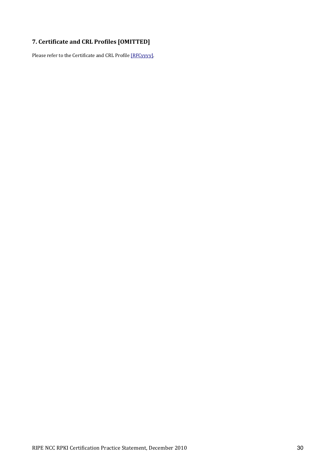# **7.#Certificate#and#CRL#Profiles#[OMITTED]**

Please refer to the Certificate and CRL Profile [RFCyyyy].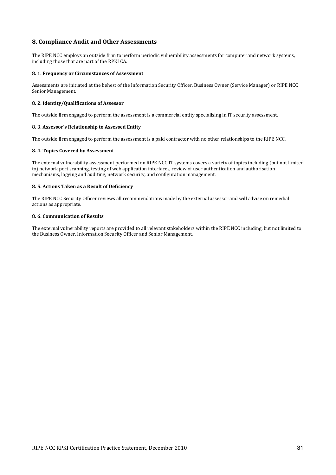# **8. Compliance Audit and Other Assessments**

The RIPE NCC employs an outside firm to perform periodic vulnerability assessments for computer and network systems, including those that are part of the RPKI CA.

#### 8. 1. Frequency or Circumstances of Assessment

Assessments are initiated at the behest of the Information Security Officer, Business Owner (Service Manager) or RIPE NCC Senior Management.

#### 8. 2. Identity/Qualifications of Assessor

The outside firm engaged to perform the assessment is a commercial entity specialising in IT security assessment.

#### **8. 3. Assessor's Relationship to Assessed Entity**

The outside firm engaged to perform the assessment is a paid contractor with no other relationships to the RIPE NCC.

#### **8. 4. Topics Covered by Assessment**

The external vulnerability assessment performed on RIPE NCC IT systems covers a variety of topics including (but not limited to) network port scanning, testing of web application interfaces, review of user authentication and authorisation mechanisms, logging and auditing, network security, and configuration management.

#### 8. 5. Actions Taken as a Result of Deficiency

The RIPE NCC Security Officer reviews all recommendations made by the external assessor and will advise on remedial actions as appropriate.

#### **8.6. Communication of Results**

The external vulnerability reports are provided to all relevant stakeholders within the RIPE NCC including, but not limited to the Business Owner, Information Security Officer and Senior Management.